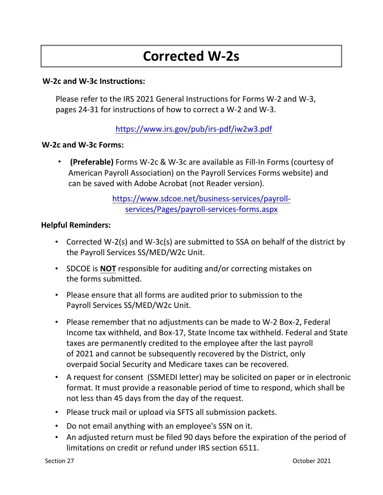# **Corrected W‐2s**

### **W-2c and W-3c Instructions:**

Please refer to the IRS 2021 General Instructions for Forms W-2 and W-3, pages 24-31 for instructions of how to correct a W-2 and W-3.

## https://www.irs.gov/pub/irs-pdf/iw2w3.pdf

#### **W-2c and W-3c Forms:**

• **(Preferable)** Forms W‐2c & W‐3c are available as Fill‐In Forms (courtesy of American Payroll Association) on the Payroll Services Forms website) and can be saved with Adobe Acrobat (not Reader version).

> [https://www.sdcoe.net/business-services/payroll](https://www.sdcoe.net/business-services/payroll-services/Pages/payroll-services-forms.aspx)services/Pages/payroll-services-forms.aspx

#### **Helpful Reminders:**

- Corrected W-2(s) and W-3c(s) are submitted to SSA on behalf of the district by the Payroll Services SS/MED/W2c Unit.
- SDCOE is **NOT** responsible for auditing and/or correcting mistakes on the forms submitted.
- Please ensure that all forms are audited prior to submission to the Payroll Services SS/MED/W2c Unit.
- Please remember that no adjustments can be made to W-2 Box-2, Federal Income tax withheld, and Box-17, State Income tax withheld. Federal and State taxes are permanently credited to the employee after the last payroll of 2021 and cannot be subsequently recovered by the District, only overpaid Social Security and Medicare taxes can be recovered.
- A request for consent (SSMEDI letter) may be solicited on paper or in electronic format. It must provide a reasonable period of time to respond, which shall be not less than 45 days from the day of the request.
- Please truck mail or upload via SFTS all submission packets.
- Do not email anything with an employee's SSN on it.
- An adjusted return must be filed 90 days before the expiration of the period of limitations on credit or refund under IRS section 6511.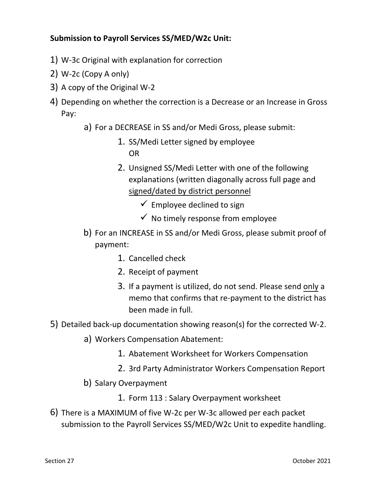## **Submission to Payroll Services SS/MED/W2c Unit:**

- 1) W-3c Original with explanation for correction
- 2) W-2c (Copy A only)
- 3) A copy of the Original W-2
- 4) Depending on whether the correction is a Decrease or an Increase in Gross Pay:
	- a) For a DECREASE in SS and/or Medi Gross, please submit:
		- 1. SS/Medi Letter signed by employee OR
		- 2. Unsigned SS/Medi Letter with one of the following explanations (written diagonally across full page and signed/dated by district personnel
			- $\checkmark$  Employee declined to sign
			- $\checkmark$  No timely response from employee
	- b) For an INCREASE in SS and/or Medi Gross, please submit proof of payment:
		- 1. Cancelled check
		- 2. Receipt of payment
		- 3. If a payment is utilized, do not send. Please send only a memo that confirms that re-payment to the district has been made in full.
- 5) Detailed back-up documentation showing reason(s) for the corrected W-2.
	- a) Workers Compensation Abatement:
		- 1. Abatement Worksheet for Workers Compensation
		- 2. 3rd Party Administrator Workers Compensation Report
	- b) Salary Overpayment
		- 1. Form 113 : Salary Overpayment worksheet
- 6) There is a MAXIMUM of five W-2c per W-3c allowed per each packet submission to the Payroll Services SS/MED/W2c Unit to expedite handling.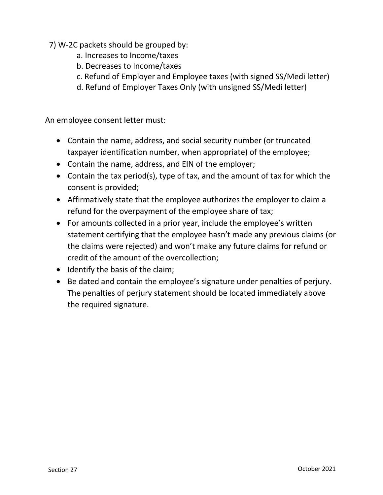- 7) W-2C packets should be grouped by:
	- a. Increases to Income/taxes
	- b. Decreases to Income/taxes
	- c. Refund of Employer and Employee taxes (with signed SS/Medi letter)
	- d. Refund of Employer Taxes Only (with unsigned SS/Medi letter)

An employee consent letter must:

- Contain the name, address, and social security number (or truncated taxpayer identification number, when appropriate) of the employee;
- Contain the name, address, and EIN of the employer;
- Contain the tax period(s), type of tax, and the amount of tax for which the consent is provided;
- Affirmatively state that the employee authorizes the employer to claim a refund for the overpayment of the employee share of tax;
- For amounts collected in a prior year, include the employee's written statement certifying that the employee hasn't made any previous claims (or the claims were rejected) and won't make any future claims for refund or credit of the amount of the overcollection;
- Identify the basis of the claim;
- Be dated and contain the employee's signature under penalties of perjury. The penalties of perjury statement should be located immediately above the required signature.